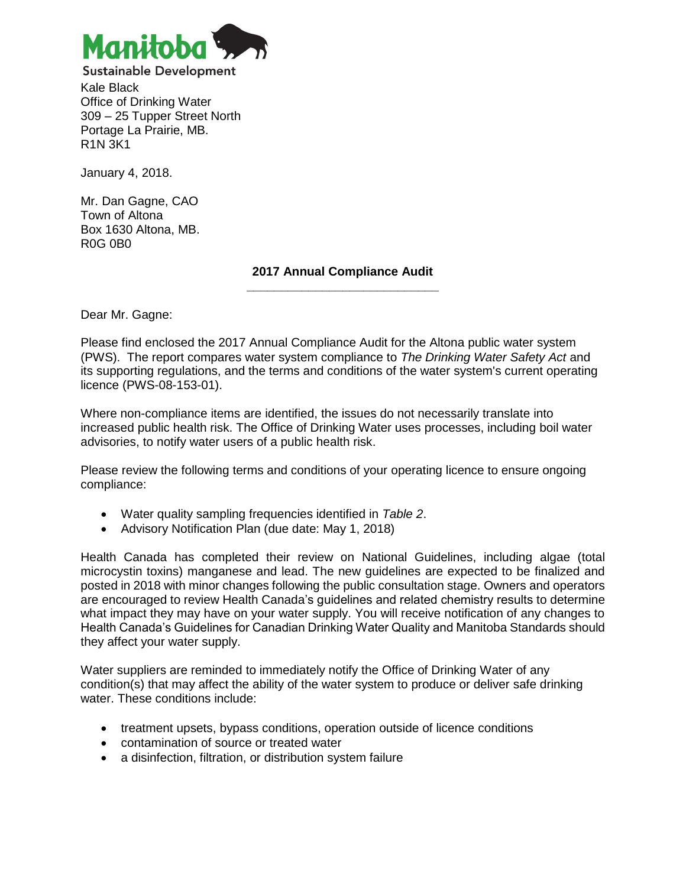

Kale Black Office of Drinking Water 309 – 25 Tupper Street North Portage La Prairie, MB. R1N 3K1

January 4, 2018.

Mr. Dan Gagne, CAO Town of Altona Box 1630 Altona, MB. R0G 0B0

#### **2017 Annual Compliance Audit \_\_\_\_\_\_\_\_\_\_\_\_\_\_\_\_\_\_\_\_\_\_\_\_\_\_\_\_**

Dear Mr. Gagne:

Please find enclosed the 2017 Annual Compliance Audit for the Altona public water system (PWS). The report compares water system compliance to *The Drinking Water Safety Act* and its supporting regulations, and the terms and conditions of the water system's current operating licence (PWS-08-153-01).

Where non-compliance items are identified, the issues do not necessarily translate into increased public health risk. The Office of Drinking Water uses processes, including boil water advisories, to notify water users of a public health risk.

Please review the following terms and conditions of your operating licence to ensure ongoing compliance:

- Water quality sampling frequencies identified in *Table 2*.
- Advisory Notification Plan (due date: May 1, 2018)

Health Canada has completed their review on National Guidelines, including algae (total microcystin toxins) manganese and lead. The new guidelines are expected to be finalized and posted in 2018 with minor changes following the public consultation stage. Owners and operators are encouraged to review Health Canada's guidelines and related chemistry results to determine what impact they may have on your water supply. You will receive notification of any changes to Health Canada's Guidelines for Canadian Drinking Water Quality and Manitoba Standards should they affect your water supply.

Water suppliers are reminded to immediately notify the Office of Drinking Water of any condition(s) that may affect the ability of the water system to produce or deliver safe drinking water. These conditions include:

- treatment upsets, bypass conditions, operation outside of licence conditions
- contamination of source or treated water
- a disinfection, filtration, or distribution system failure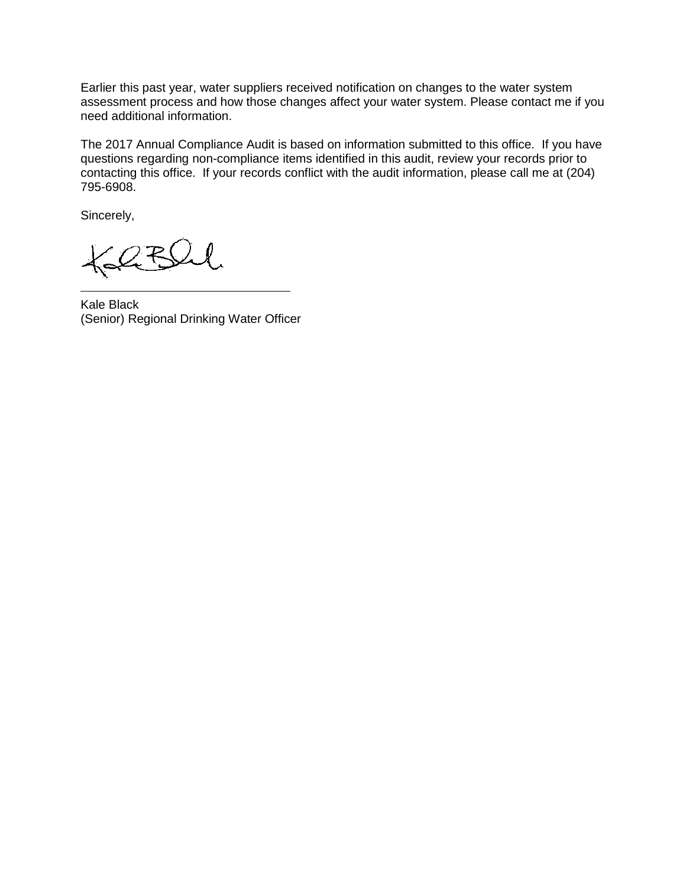Earlier this past year, water suppliers received notification on changes to the water system assessment process and how those changes affect your water system. Please contact me if you need additional information.

The 2017 Annual Compliance Audit is based on information submitted to this office. If you have questions regarding non-compliance items identified in this audit, review your records prior to contacting this office. If your records conflict with the audit information, please call me at (204) 795-6908.

Sincerely,

Kale Black (Senior) Regional Drinking Water Officer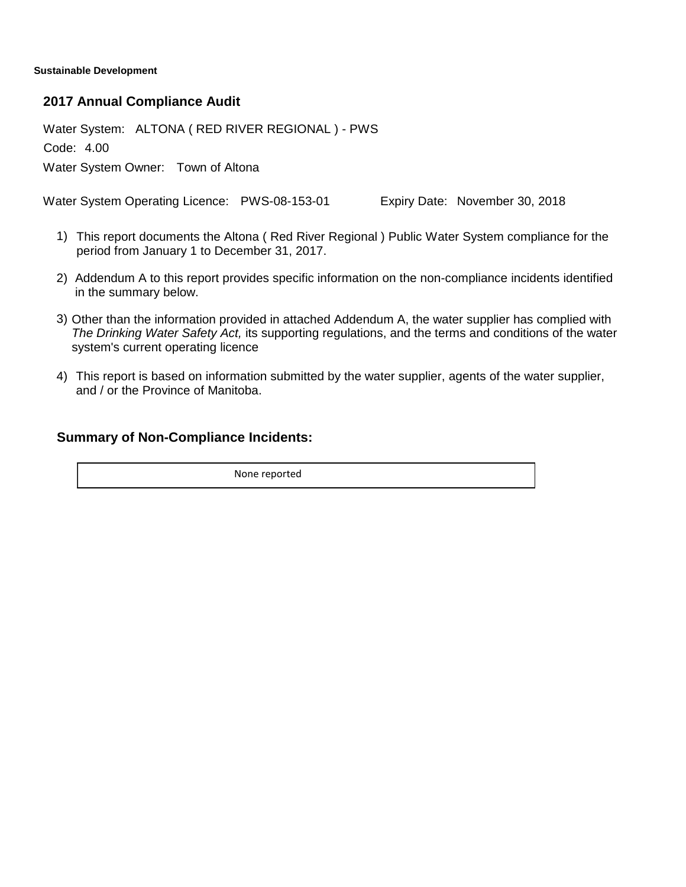**Sustainable Development**

### **2017 Annual Compliance Audit**

Water System: ALTONA ( RED RIVER REGIONAL ) - PWS

Code: 4.00

Water System Owner: Town of Altona

Water System Operating Licence: PWS-08-153-01 Expiry Date: November 30, 2018

- This report documents the Altona ( Red River Regional ) Public Water System compliance for the 1) period from January 1 to December 31, 2017.
- 2) Addendum A to this report provides specific information on the non-compliance incidents identified in the summary below.
- 3) Other than the information provided in attached Addendum A, the water supplier has complied with *The Drinking Water Safety Act,* its supporting regulations, and the terms and conditions of the water system's current operating licence
- This report is based on information submitted by the water supplier, agents of the water supplier, 4) and / or the Province of Manitoba.

## **Summary of Non-Compliance Incidents:**

None reported